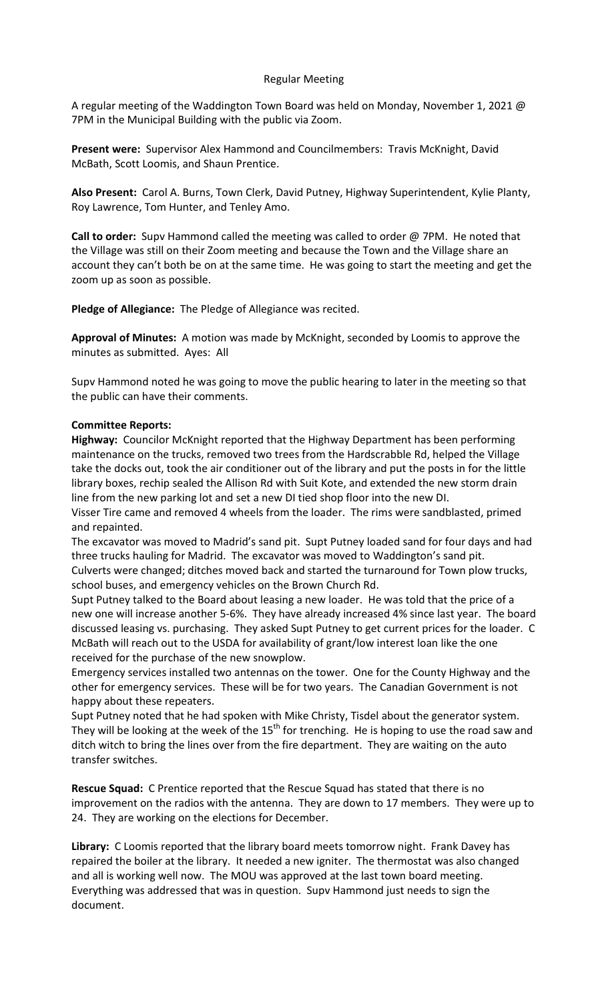# Regular Meeting

A regular meeting of the Waddington Town Board was held on Monday, November 1, 2021 @ 7PM in the Municipal Building with the public via Zoom.

**Present were:** Supervisor Alex Hammond and Councilmembers: Travis McKnight, David McBath, Scott Loomis, and Shaun Prentice.

**Also Present:** Carol A. Burns, Town Clerk, David Putney, Highway Superintendent, Kylie Planty, Roy Lawrence, Tom Hunter, and Tenley Amo.

**Call to order:** Supv Hammond called the meeting was called to order @ 7PM. He noted that the Village was still on their Zoom meeting and because the Town and the Village share an account they can't both be on at the same time. He was going to start the meeting and get the zoom up as soon as possible.

**Pledge of Allegiance:** The Pledge of Allegiance was recited.

**Approval of Minutes:** A motion was made by McKnight, seconded by Loomis to approve the minutes as submitted. Ayes: All

Supv Hammond noted he was going to move the public hearing to later in the meeting so that the public can have their comments.

## **Committee Reports:**

**Highway:** Councilor McKnight reported that the Highway Department has been performing maintenance on the trucks, removed two trees from the Hardscrabble Rd, helped the Village take the docks out, took the air conditioner out of the library and put the posts in for the little library boxes, rechip sealed the Allison Rd with Suit Kote, and extended the new storm drain line from the new parking lot and set a new DI tied shop floor into the new DI.

Visser Tire came and removed 4 wheels from the loader. The rims were sandblasted, primed and repainted.

The excavator was moved to Madrid's sand pit. Supt Putney loaded sand for four days and had three trucks hauling for Madrid. The excavator was moved to Waddington's sand pit.

Culverts were changed; ditches moved back and started the turnaround for Town plow trucks, school buses, and emergency vehicles on the Brown Church Rd.

Supt Putney talked to the Board about leasing a new loader. He was told that the price of a new one will increase another 5-6%. They have already increased 4% since last year. The board discussed leasing vs. purchasing. They asked Supt Putney to get current prices for the loader. C McBath will reach out to the USDA for availability of grant/low interest loan like the one received for the purchase of the new snowplow.

Emergency services installed two antennas on the tower. One for the County Highway and the other for emergency services. These will be for two years. The Canadian Government is not happy about these repeaters.

Supt Putney noted that he had spoken with Mike Christy, Tisdel about the generator system. They will be looking at the week of the  $15<sup>th</sup>$  for trenching. He is hoping to use the road saw and ditch witch to bring the lines over from the fire department. They are waiting on the auto transfer switches.

**Rescue Squad:** C Prentice reported that the Rescue Squad has stated that there is no improvement on the radios with the antenna. They are down to 17 members. They were up to 24. They are working on the elections for December.

**Library:** C Loomis reported that the library board meets tomorrow night. Frank Davey has repaired the boiler at the library. It needed a new igniter. The thermostat was also changed and all is working well now. The MOU was approved at the last town board meeting. Everything was addressed that was in question. Supv Hammond just needs to sign the document.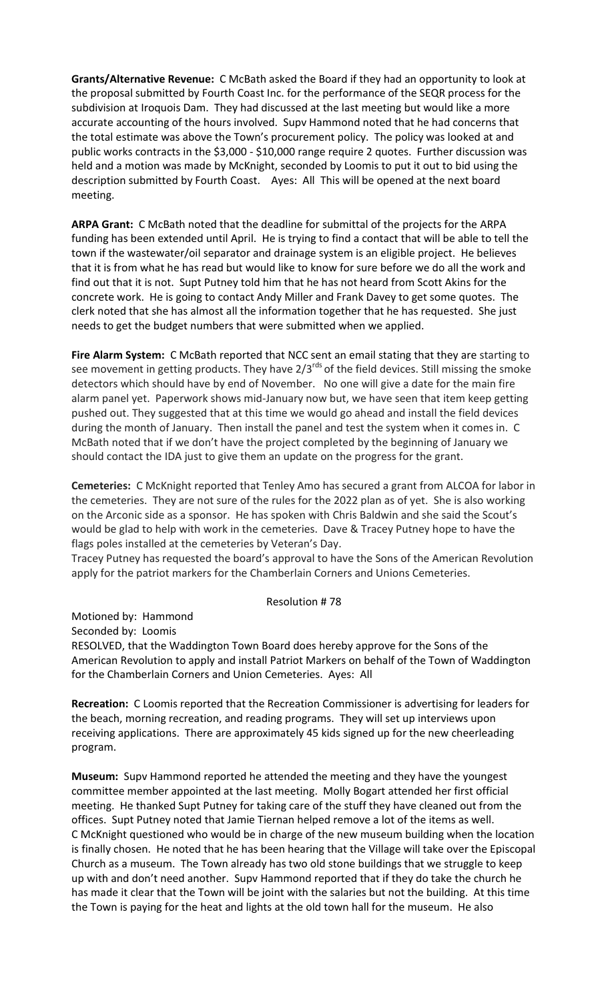**Grants/Alternative Revenue:** C McBath asked the Board if they had an opportunity to look at the proposal submitted by Fourth Coast Inc. for the performance of the SEQR process for the subdivision at Iroquois Dam. They had discussed at the last meeting but would like a more accurate accounting of the hours involved. Supv Hammond noted that he had concerns that the total estimate was above the Town's procurement policy. The policy was looked at and public works contracts in the \$3,000 - \$10,000 range require 2 quotes. Further discussion was held and a motion was made by McKnight, seconded by Loomis to put it out to bid using the description submitted by Fourth Coast. Ayes: All This will be opened at the next board meeting.

**ARPA Grant:** C McBath noted that the deadline for submittal of the projects for the ARPA funding has been extended until April. He is trying to find a contact that will be able to tell the town if the wastewater/oil separator and drainage system is an eligible project. He believes that it is from what he has read but would like to know for sure before we do all the work and find out that it is not. Supt Putney told him that he has not heard from Scott Akins for the concrete work. He is going to contact Andy Miller and Frank Davey to get some quotes. The clerk noted that she has almost all the information together that he has requested. She just needs to get the budget numbers that were submitted when we applied.

**Fire Alarm System:** C McBath reported that NCC sent an email stating that they are starting to see movement in getting products. They have  $2/3^{rds}$  of the field devices. Still missing the smoke detectors which should have by end of November. No one will give a date for the main fire alarm panel yet. Paperwork shows mid-January now but, we have seen that item keep getting pushed out. They suggested that at this time we would go ahead and install the field devices during the month of January. Then install the panel and test the system when it comes in. C McBath noted that if we don't have the project completed by the beginning of January we should contact the IDA just to give them an update on the progress for the grant.

**Cemeteries:** C McKnight reported that Tenley Amo has secured a grant from ALCOA for labor in the cemeteries. They are not sure of the rules for the 2022 plan as of yet. She is also working on the Arconic side as a sponsor. He has spoken with Chris Baldwin and she said the Scout's would be glad to help with work in the cemeteries. Dave & Tracey Putney hope to have the flags poles installed at the cemeteries by Veteran's Day.

Tracey Putney has requested the board's approval to have the Sons of the American Revolution apply for the patriot markers for the Chamberlain Corners and Unions Cemeteries.

## Resolution # 78

Motioned by: Hammond

Seconded by: Loomis

RESOLVED, that the Waddington Town Board does hereby approve for the Sons of the American Revolution to apply and install Patriot Markers on behalf of the Town of Waddington for the Chamberlain Corners and Union Cemeteries. Ayes: All

**Recreation:** C Loomis reported that the Recreation Commissioner is advertising for leaders for the beach, morning recreation, and reading programs. They will set up interviews upon receiving applications. There are approximately 45 kids signed up for the new cheerleading program.

**Museum:** Supv Hammond reported he attended the meeting and they have the youngest committee member appointed at the last meeting. Molly Bogart attended her first official meeting. He thanked Supt Putney for taking care of the stuff they have cleaned out from the offices. Supt Putney noted that Jamie Tiernan helped remove a lot of the items as well. C McKnight questioned who would be in charge of the new museum building when the location is finally chosen. He noted that he has been hearing that the Village will take over the Episcopal Church as a museum. The Town already has two old stone buildings that we struggle to keep up with and don't need another. Supv Hammond reported that if they do take the church he has made it clear that the Town will be joint with the salaries but not the building. At this time the Town is paying for the heat and lights at the old town hall for the museum. He also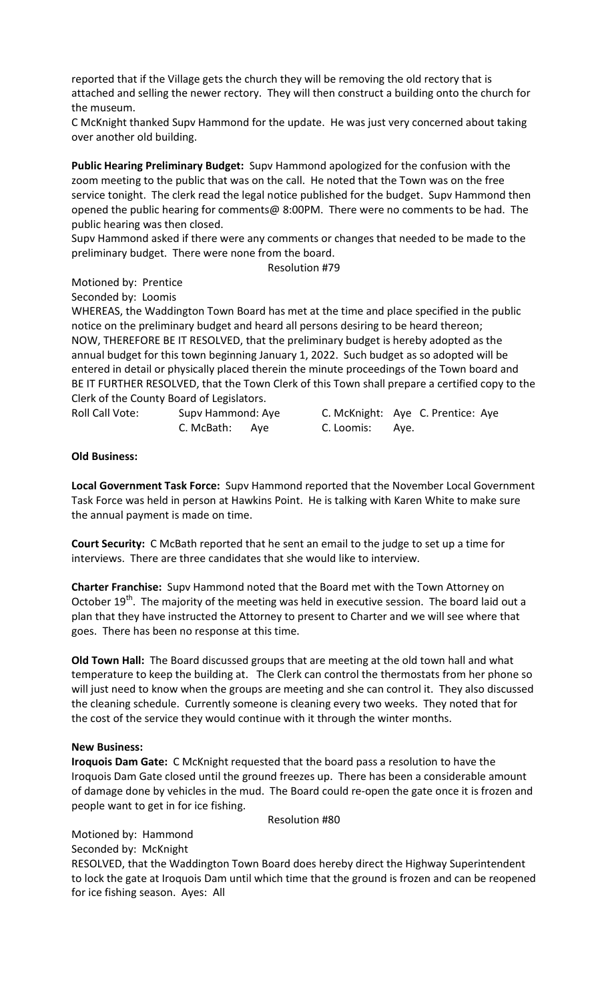reported that if the Village gets the church they will be removing the old rectory that is attached and selling the newer rectory. They will then construct a building onto the church for the museum.

C McKnight thanked Supv Hammond for the update. He was just very concerned about taking over another old building.

**Public Hearing Preliminary Budget:** Supv Hammond apologized for the confusion with the zoom meeting to the public that was on the call. He noted that the Town was on the free service tonight. The clerk read the legal notice published for the budget. Supv Hammond then opened the public hearing for comments@ 8:00PM. There were no comments to be had. The public hearing was then closed.

Supv Hammond asked if there were any comments or changes that needed to be made to the preliminary budget. There were none from the board.

Resolution #79

## Motioned by: Prentice

Seconded by: Loomis

WHEREAS, the Waddington Town Board has met at the time and place specified in the public notice on the preliminary budget and heard all persons desiring to be heard thereon; NOW, THEREFORE BE IT RESOLVED, that the preliminary budget is hereby adopted as the annual budget for this town beginning January 1, 2022. Such budget as so adopted will be entered in detail or physically placed therein the minute proceedings of the Town board and BE IT FURTHER RESOLVED, that the Town Clerk of this Town shall prepare a certified copy to the Clerk of the County Board of Legislators.

C. McBath: Aye C. Loomis: Aye.

Roll Call Vote: Supv Hammond: Aye C. McKnight: Aye C. Prentice: Aye

## **Old Business:**

**Local Government Task Force:** Supv Hammond reported that the November Local Government Task Force was held in person at Hawkins Point. He is talking with Karen White to make sure the annual payment is made on time.

**Court Security:** C McBath reported that he sent an email to the judge to set up a time for interviews. There are three candidates that she would like to interview.

**Charter Franchise:** Supv Hammond noted that the Board met with the Town Attorney on October 19<sup>th</sup>. The majority of the meeting was held in executive session. The board laid out a plan that they have instructed the Attorney to present to Charter and we will see where that goes. There has been no response at this time.

**Old Town Hall:** The Board discussed groups that are meeting at the old town hall and what temperature to keep the building at. The Clerk can control the thermostats from her phone so will just need to know when the groups are meeting and she can control it. They also discussed the cleaning schedule. Currently someone is cleaning every two weeks. They noted that for the cost of the service they would continue with it through the winter months.

## **New Business:**

**Iroquois Dam Gate:** C McKnight requested that the board pass a resolution to have the Iroquois Dam Gate closed until the ground freezes up. There has been a considerable amount of damage done by vehicles in the mud. The Board could re-open the gate once it is frozen and people want to get in for ice fishing.

Resolution #80

Motioned by: Hammond Seconded by: McKnight

RESOLVED, that the Waddington Town Board does hereby direct the Highway Superintendent to lock the gate at Iroquois Dam until which time that the ground is frozen and can be reopened for ice fishing season. Ayes: All